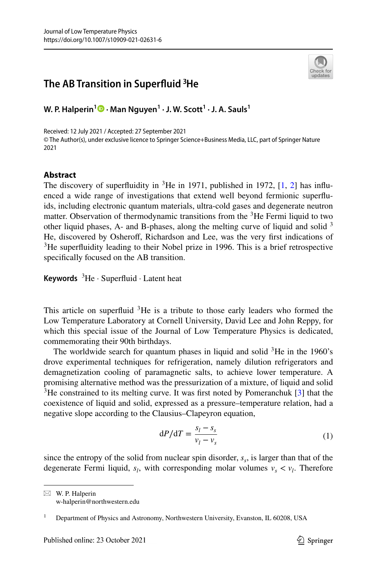## **The AB Transition in Superfuid 3He**



**W. P. Halperin1  [·](http://orcid.org/0000-0003-3411-5327) Man Nguyen<sup>1</sup> · J. W. Scott<sup>1</sup> · J. A. Sauls1**

Received: 12 July 2021 / Accepted: 27 September 2021 © The Author(s), under exclusive licence to Springer Science+Business Media, LLC, part of Springer Nature 2021

## **Abstract**

The discovery of superfluidity in  ${}^{3}$ He in 1971, published in 1972, [\[1](#page-7-0), [2](#page-7-1)] has influenced a wide range of investigations that extend well beyond fermionic superfuids, including electronic quantum materials, ultra-cold gases and degenerate neutron matter. Observation of thermodynamic transitions from the  ${}^{3}$ He Fermi liquid to two other liquid phases, A- and B-phases, along the melting curve of liquid and solid <sup>3</sup> He, discovered by Osherof, Richardson and Lee, was the very frst indications of <sup>3</sup>He superfluidity leading to their Nobel prize in 1996. This is a brief retrospective specifcally focused on the AB transition.

**Keywords** <sup>3</sup>He · Superfluid · Latent heat

This article on superfluid  ${}^{3}$ He is a tribute to those early leaders who formed the Low Temperature Laboratory at Cornell University, David Lee and John Reppy, for which this special issue of the Journal of Low Temperature Physics is dedicated, commemorating their 90th birthdays.

The worldwide search for quantum phases in liquid and solid  ${}^{3}$ He in the 1960's drove experimental techniques for refrigeration, namely dilution refrigerators and demagnetization cooling of paramagnetic salts, to achieve lower temperature. A promising alternative method was the pressurization of a mixture, of liquid and solid  $3$ He constrained to its melting curve. It was first noted by Pomeranchuk [[3\]](#page-7-2) that the coexistence of liquid and solid, expressed as a pressure–temperature relation, had a negative slope according to the Clausius–Clapeyron equation,

$$
dP/dT = \frac{s_l - s_s}{v_l - v_s} \tag{1}
$$

since the entropy of the solid from nuclear spin disorder,  $s<sub>s</sub>$ , is larger than that of the degenerate Fermi liquid,  $s_l$ , with corresponding molar volumes  $v_s < v_l$ . Therefore

 $\boxtimes$  W. P. Halperin w-halperin@northwestern.edu

<sup>1</sup> Department of Physics and Astronomy, Northwestern University, Evanston, IL 60208, USA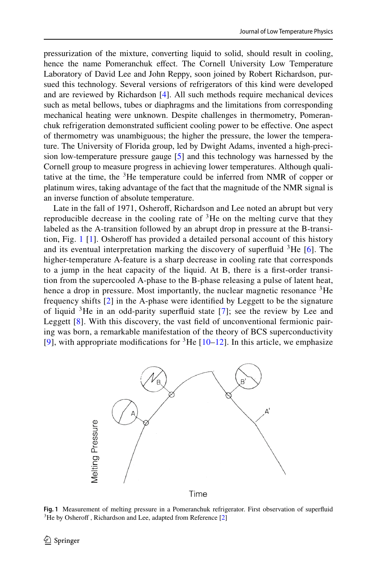pressurization of the mixture, converting liquid to solid, should result in cooling, hence the name Pomeranchuk efect. The Cornell University Low Temperature Laboratory of David Lee and John Reppy, soon joined by Robert Richardson, pursued this technology. Several versions of refrigerators of this kind were developed and are reviewed by Richardson [\[4](#page-7-3)]. All such methods require mechanical devices such as metal bellows, tubes or diaphragms and the limitations from corresponding mechanical heating were unknown. Despite challenges in thermometry, Pomeranchuk refrigeration demonstrated sufficient cooling power to be effective. One aspect of thermometry was unambiguous; the higher the pressure, the lower the temperature. The University of Florida group, led by Dwight Adams, invented a high-precision low-temperature pressure gauge [[5\]](#page-7-4) and this technology was harnessed by the Cornell group to measure progress in achieving lower temperatures. Although qualitative at the time, the  ${}^{3}$ He temperature could be inferred from NMR of copper or platinum wires, taking advantage of the fact that the magnitude of the NMR signal is an inverse function of absolute temperature.

Late in the fall of 1971, Osheroff, Richardson and Lee noted an abrupt but very reproducible decrease in the cooling rate of  ${}^{3}$ He on the melting curve that they labeled as the A-transition followed by an abrupt drop in pressure at the B-transi-tion, Fig. [1](#page-1-0) [[1\]](#page-7-0). Osheroff has provided a detailed personal account of this history and its eventual interpretation marking the discovery of superfluid  ${}^{3}$ He [[6\]](#page-7-5). The higher-temperature A-feature is a sharp decrease in cooling rate that corresponds to a jump in the heat capacity of the liquid. At B, there is a frst-order transition from the supercooled A-phase to the B-phase releasing a pulse of latent heat, hence a drop in pressure. Most importantly, the nuclear magnetic resonance  ${}^{3}$ He frequency shifts [[2](#page-7-1)] in the A-phase were identifed by Leggett to be the signature of liquid 3He in an odd-parity superfuid state [[7](#page-7-6)]; see the review by Lee and Leggett [[8](#page-7-7)]. With this discovery, the vast field of unconventional fermionic pairing was born, a remarkable manifestation of the theory of BCS superconductivity [\[9\]](#page-7-8), with appropriate modifications for  ${}^{3}$ He [\[10–](#page-7-9)[12](#page-7-10)]. In this article, we emphasize



Time

<span id="page-1-0"></span>**Fig. 1** Measurement of melting pressure in a Pomeranchuk refrigerator. First observation of superfluid <sup>3</sup>He by Osheroff, Richardson and Lee, adapted from Reference [\[2](#page-7-1)]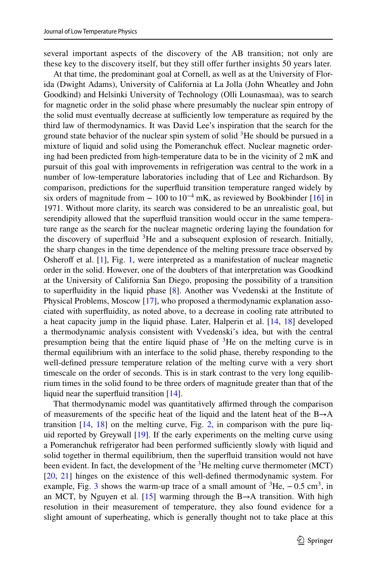several important aspects of the discovery of the AB transition; not only are these key to the discovery itself, but they still ofer further insights 50 years later.

At that time, the predominant goal at Cornell, as well as at the University of Florida (Dwight Adams), University of California at La Jolla (John Wheatley and John Goodkind) and Helsinki University of Technology (Olli Lounasmaa), was to search for magnetic order in the solid phase where presumably the nuclear spin entropy of the solid must eventually decrease at sufficiently low temperature as required by the third law of thermodynamics. It was David Lee's inspiration that the search for the ground state behavior of the nuclear spin system of solid  ${}^{3}$ He should be pursued in a mixture of liquid and solid using the Pomeranchuk efect. Nuclear magnetic ordering had been predicted from high-temperature data to be in the vicinity of 2 mK and pursuit of this goal with improvements in refrigeration was central to the work in a number of low-temperature laboratories including that of Lee and Richardson. By comparison, predictions for the superfuid transition temperature ranged widely by six orders of magnitude from  $-100$  to  $10^{-4}$  mK, as reviewed by Bookbinder [[16\]](#page-7-11) in 1971. Without more clarity, its search was considered to be an unrealistic goal, but serendipity allowed that the superfuid transition would occur in the same temperature range as the search for the nuclear magnetic ordering laying the foundation for the discovery of superfluid  ${}^{3}$ He and a subsequent explosion of research. Initially, the sharp changes in the time dependence of the melting pressure trace observed by Osheroff et al. [\[1](#page-7-0)], Fig. [1,](#page-1-0) were interpreted as a manifestation of nuclear magnetic order in the solid. However, one of the doubters of that interpretation was Goodkind at the University of California San Diego, proposing the possibility of a transition to superfuidity in the liquid phase [[8\]](#page-7-7). Another was Vvedenski at the Institute of Physical Problems, Moscow [[17\]](#page-7-12), who proposed a thermodynamic explanation associated with superfuidity, as noted above, to a decrease in cooling rate attributed to a heat capacity jump in the liquid phase. Later, Halperin et al. [[14,](#page-7-13) [18\]](#page-7-14) developed a thermodynamic analysis consistent with Vvedenski's idea, but with the central presumption being that the entire liquid phase of  ${}^{3}$ He on the melting curve is in thermal equilibrium with an interface to the solid phase, thereby responding to the well-defned pressure temperature relation of the melting curve with a very short timescale on the order of seconds. This is in stark contrast to the very long equilibrium times in the solid found to be three orders of magnitude greater than that of the liquid near the superfuid transition [\[14](#page-7-13)].

That thermodynamic model was quantitatively affirmed through the comparison of measurements of the specific heat of the liquid and the latent heat of the  $B\rightarrow A$ transition  $[14, 18]$  $[14, 18]$  $[14, 18]$  $[14, 18]$  $[14, 18]$  on the melting curve, Fig. [2,](#page-3-0) in comparison with the pure liquid reported by Greywall [[19\]](#page-7-15). If the early experiments on the melting curve using a Pomeranchuk refrigerator had been performed sufficiently slowly with liquid and solid together in thermal equilibrium, then the superfuid transition would not have been evident. In fact, the development of the <sup>3</sup>He melting curve thermometer (MCT) [\[20](#page-7-16), [21\]](#page-7-17) hinges on the existence of this well-defined thermodynamic system. For example, Fig. [3](#page-3-1) shows the warm-up trace of a small amount of  ${}^{3}$ He,  $-0.5$  cm<sup>3</sup>, in an MCT, by Nguyen et al. [[15\]](#page-7-18) warming through the  $B\rightarrow A$  transition. With high resolution in their measurement of temperature, they also found evidence for a slight amount of superheating, which is generally thought not to take place at this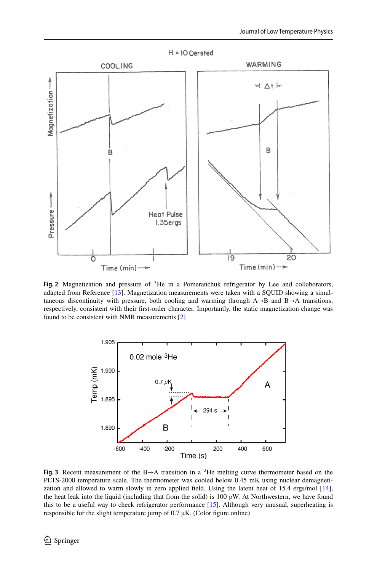

<span id="page-3-0"></span>**Fig. 2** Magnetization and pressure of 3He in a Pomeranchuk refrigerator by Lee and collaborators, adapted from Reference [\[13](#page-7-19)]. Magnetization measurements were taken with a SQUID showing a simultaneous discontinuity with pressure, both cooling and warming through  $A \rightarrow B$  and  $B \rightarrow A$  transitions, respectively, consistent with their frst-order character. Importantly, the static magnetization change was found to be consistent with NMR measurements [\[2](#page-7-1)]



<span id="page-3-1"></span>**Fig. 3** Recent measurement of the B→A transition in a <sup>3</sup>He melting curve thermometer based on the PLTS-2000 temperature scale. The thermometer was cooled below 0.45 mK using nuclear demagnetization and allowed to warm slowly in zero applied feld. Using the latent heat of 15.4 ergs/mol [[14\]](#page-7-13), the heat leak into the liquid (including that from the solid) is 100 pW. At Northwestern, we have found this to be a useful way to check refrigerator performance [\[15](#page-7-18)]. Although very unusual, superheating is responsible for the slight temperature jump of  $0.7 \mu K$ . (Color figure online)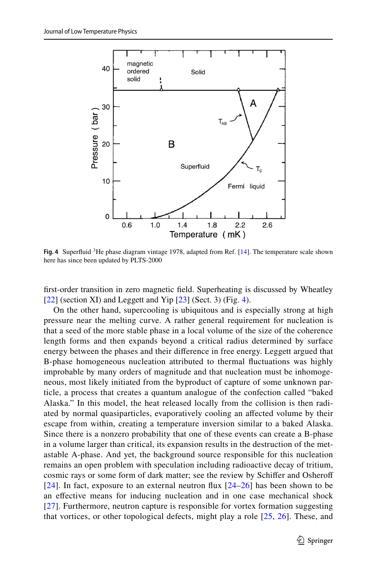

<span id="page-4-0"></span>**Fig. 4** Superfuid 3He phase diagram vintage 1978, adapted from Ref. [\[14](#page-7-13)]. The temperature scale shown here has since been updated by PLTS-2000

frst-order transition in zero magnetic feld. Superheating is discussed by Wheatley  $[22]$  $[22]$  (section XI) and Leggett and Yip  $[23]$  $[23]$  (Sect. 3) (Fig. [4\)](#page-4-0).

On the other hand, supercooling is ubiquitous and is especially strong at high pressure near the melting curve. A rather general requirement for nucleation is that a seed of the more stable phase in a local volume of the size of the coherence length forms and then expands beyond a critical radius determined by surface energy between the phases and their diference in free energy. Leggett argued that B-phase homogeneous nucleation attributed to thermal fuctuations was highly improbable by many orders of magnitude and that nucleation must be inhomogeneous, most likely initiated from the byproduct of capture of some unknown particle, a process that creates a quantum analogue of the confection called "baked Alaska." In this model, the heat released locally from the collision is then radiated by normal quasiparticles, evaporatively cooling an afected volume by their escape from within, creating a temperature inversion similar to a baked Alaska. Since there is a nonzero probability that one of these events can create a B-phase in a volume larger than critical, its expansion results in the destruction of the metastable A-phase. And yet, the background source responsible for this nucleation remains an open problem with speculation including radioactive decay of tritium, cosmic rays or some form of dark matter; see the review by Schifer and Osherof [\[24\]](#page-7-22). In fact, exposure to an external neutron flux  $[24-26]$  $[24-26]$  $[24-26]$  has been shown to be an efective means for inducing nucleation and in one case mechanical shock [\[27\]](#page-7-24). Furthermore, neutron capture is responsible for vortex formation suggesting that vortices, or other topological defects, might play a role [[25,](#page-7-25) [26\]](#page-7-23). These, and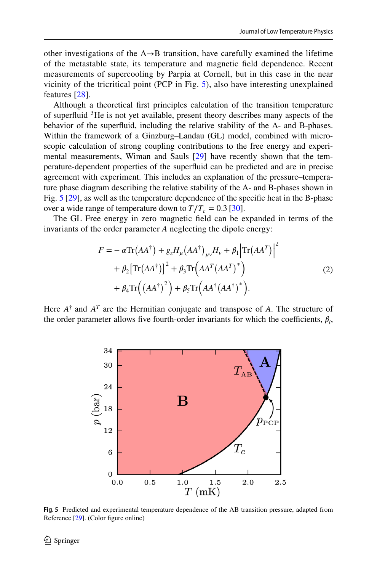other investigations of the  $A \rightarrow B$  transition, have carefully examined the lifetime of the metastable state, its temperature and magnetic feld dependence. Recent measurements of supercooling by Parpia at Cornell, but in this case in the near vicinity of the tricritical point (PCP in Fig. [5](#page-5-0)), also have interesting unexplained features [[28\]](#page-7-26).

Although a theoretical frst principles calculation of the transition temperature of superfuid 3He is not yet available, present theory describes many aspects of the behavior of the superfuid, including the relative stability of the A- and B-phases. Within the framework of a Ginzburg–Landau (GL) model, combined with microscopic calculation of strong coupling contributions to the free energy and experimental measurements, Wiman and Sauls [[29\]](#page-7-27) have recently shown that the temperature-dependent properties of the superfuid can be predicted and are in precise agreement with experiment. This includes an explanation of the pressure–temperature phase diagram describing the relative stability of the A- and B-phases shown in Fig. [5](#page-5-0) [[29\]](#page-7-27), as well as the temperature dependence of the specifc heat in the B-phase over a wide range of temperature down to  $T/T_c = 0.3$  [\[30](#page-7-28)].

The GL Free energy in zero magnetic feld can be expanded in terms of the invariants of the order parameter *A* neglecting the dipole energy:

$$
F = -\alpha \text{Tr}(AA^{\dagger}) + g_z H_{\mu} (AA^{\dagger})_{\mu\nu} H_{\nu} + \beta_1 |\text{Tr}(AA^T)|^2
$$
  
+  $\beta_2 [\text{Tr}(AA^{\dagger})]^2 + \beta_3 \text{Tr}(AA^T (AA^T)^*)$   
+  $\beta_4 \text{Tr}((AA^{\dagger})^2) + \beta_5 \text{Tr}(AA^{\dagger} (AA^{\dagger})^*)$ . (2)

Here  $A^{\dagger}$  and  $A^{T}$  are the Hermitian conjugate and transpose of  $A$ . The structure of the order parameter allows five fourth-order invariants for which the coefficients,  $\beta_i$ ,



<span id="page-5-0"></span>**Fig. 5** Predicted and experimental temperature dependence of the AB transition pressure, adapted from Reference [[29\]](#page-7-27). (Color figure online)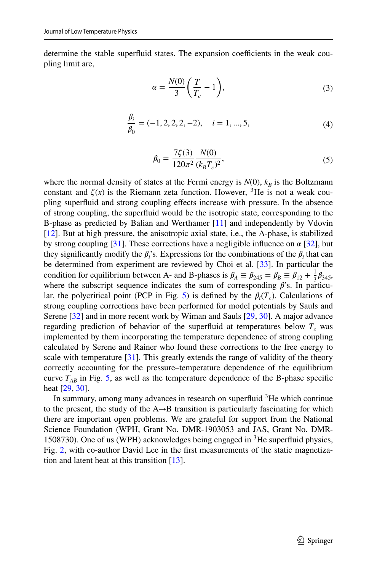determine the stable superfluid states. The expansion coefficients in the weak coupling limit are,

$$
\alpha = \frac{N(0)}{3} \left( \frac{T}{T_c} - 1 \right),\tag{3}
$$

$$
\frac{\beta_i}{\beta_0} = (-1, 2, 2, 2, -2), \quad i = 1, ..., 5,
$$
\n(4)

$$
\beta_0 = \frac{7\zeta(3)}{120\pi^2} \frac{N(0)}{(k_B T_c)^2},\tag{5}
$$

where the normal density of states at the Fermi energy is  $N(0)$ ,  $k_B$  is the Boltzmann constant and  $\zeta(x)$  is the Riemann zeta function. However, <sup>3</sup>He is not a weak coupling superfuid and strong coupling efects increase with pressure. In the absence of strong coupling, the superfuid would be the isotropic state, corresponding to the B-phase as predicted by Balian and Werthamer [\[11](#page-7-29)] and independently by Vdovin [\[12](#page-7-10)]. But at high pressure, the anisotropic axial state, i.e., the A-phase, is stabilized by strong coupling [[31\]](#page-7-30). These corrections have a negligible influence on  $\alpha$  [\[32](#page-7-31)], but they significantly modify the  $\beta_i$ 's. Expressions for the combinations of the  $\beta_i$  that can be determined from experiment are reviewed by Choi et al. [[33\]](#page-7-32). In particular the condition for equilibrium between A- and B-phases is  $\beta_A \equiv \beta_{245} = \beta_B \equiv \beta_{12} + \frac{1}{3}\beta_{345}$ , where the subscript sequence indicates the sum of corresponding  $\beta$ 's. In particu-lar, the polycritical point (PCP in Fig. [5](#page-5-0)) is defined by the  $\beta_i(T_c)$ . Calculations of strong coupling corrections have been performed for model potentials by Sauls and Serene [[32\]](#page-7-31) and in more recent work by Wiman and Sauls [\[29](#page-7-27), [30](#page-7-28)]. A major advance regarding prediction of behavior of the superfluid at temperatures below  $T_c$  was implemented by them incorporating the temperature dependence of strong coupling calculated by Serene and Rainer who found these corrections to the free energy to scale with temperature  $[31]$  $[31]$ . This greatly extends the range of validity of the theory correctly accounting for the pressure–temperature dependence of the equilibrium curve  $T_{AB}$  in Fig. [5](#page-5-0), as well as the temperature dependence of the B-phase specific heat [[29,](#page-7-27) [30\]](#page-7-28).

In summary, among many advances in research on superfluid  ${}^{3}$ He which continue to the present, the study of the  $A \rightarrow B$  transition is particularly fascinating for which there are important open problems. We are grateful for support from the National Science Foundation (WPH, Grant No. DMR-1903053 and JAS, Grant No. DMR-1508730). One of us (WPH) acknowledges being engaged in  ${}^{3}$ He superfluid physics, Fig. [2,](#page-3-0) with co-author David Lee in the frst measurements of the static magnetization and latent heat at this transition [\[13](#page-7-19)].